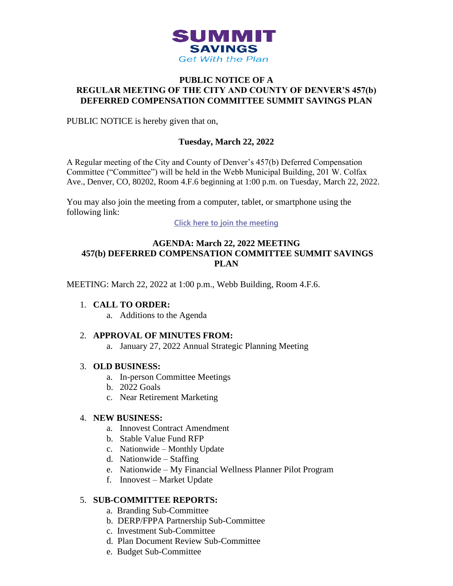

## **PUBLIC NOTICE OF A REGULAR MEETING OF THE CITY AND COUNTY OF DENVER'S 457(b) DEFERRED COMPENSATION COMMITTEE SUMMIT SAVINGS PLAN**

PUBLIC NOTICE is hereby given that on,

## **Tuesday, March 22, 2022**

A Regular meeting of the City and County of Denver's 457(b) Deferred Compensation Committee ("Committee") will be held in the Webb Municipal Building, 201 W. Colfax Ave., Denver, CO, 80202, Room 4.F.6 beginning at 1:00 p.m. on Tuesday, March 22, 2022.

You may also join the meeting from a computer, tablet, or smartphone using the following link:

**[Click here to join the meeting](https://teams.microsoft.com/l/meetup-join/19%3ameeting_OGEyNGQ5NDctOTdkZS00NWNmLWIwOTItYWIzODI1ODE5NWZk%40thread.v2/0?context=%7b%22Tid%22%3a%2239c87ab3-6612-42c0-9620-a696d12df803%22%2c%22Oid%22%3a%22c9ff68bc-d0c2-4d2e-bd70-8581035e9a16%22%7d)**

## **AGENDA: March 22, 2022 MEETING 457(b) DEFERRED COMPENSATION COMMITTEE SUMMIT SAVINGS PLAN**

MEETING: March 22, 2022 at 1:00 p.m., Webb Building, Room 4.F.6.

## 1. **CALL TO ORDER:**

a. Additions to the Agenda

## 2. **APPROVAL OF MINUTES FROM:**

a. January 27, 2022 Annual Strategic Planning Meeting

#### 3. **OLD BUSINESS:**

- a. In-person Committee Meetings
- b. 2022 Goals
- c. Near Retirement Marketing

#### 4. **NEW BUSINESS:**

- a. Innovest Contract Amendment
- b. Stable Value Fund RFP
- c. Nationwide Monthly Update
- d. Nationwide Staffing
- e. Nationwide My Financial Wellness Planner Pilot Program
- f. Innovest Market Update

## 5. **SUB-COMMITTEE REPORTS:**

- a. Branding Sub-Committee
- b. DERP/FPPA Partnership Sub-Committee
- c. Investment Sub-Committee
- d. Plan Document Review Sub-Committee
- e. Budget Sub-Committee